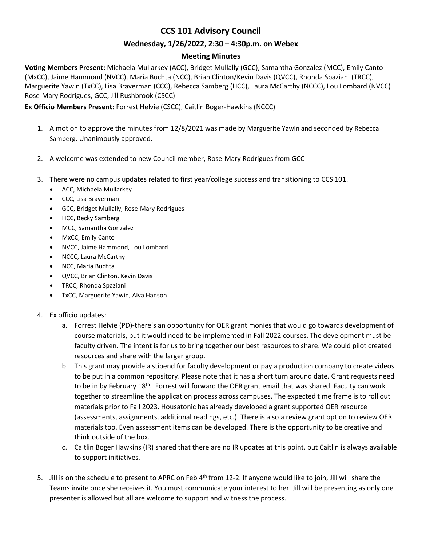# **CCS 101 Advisory Council**

#### **Wednesday, 1/26/2022, 2:30 – 4:30p.m. on Webex**

#### **Meeting Minutes**

**Voting Members Present:** Michaela Mullarkey (ACC), Bridget Mullally (GCC), Samantha Gonzalez (MCC), Emily Canto (MxCC), Jaime Hammond (NVCC), Maria Buchta (NCC), Brian Clinton/Kevin Davis (QVCC), Rhonda Spaziani (TRCC), Marguerite Yawin (TxCC), Lisa Braverman (CCC), Rebecca Samberg (HCC), Laura McCarthy (NCCC), Lou Lombard (NVCC) Rose-Mary Rodrigues, GCC, Jill Rushbrook (CSCC)

#### **Ex Officio Members Present:** Forrest Helvie (CSCC), Caitlin Boger-Hawkins (NCCC)

- 1. A motion to approve the minutes from 12/8/2021 was made by Marguerite Yawin and seconded by Rebecca Samberg. Unanimously approved.
- 2. A welcome was extended to new Council member, Rose-Mary Rodrigues from GCC
- 3. There were no campus updates related to first year/college success and transitioning to CCS 101.
	- ACC, Michaela Mullarkey
	- CCC, Lisa Braverman
	- GCC, Bridget Mullally, Rose-Mary Rodrigues
	- HCC, Becky Samberg
	- MCC, Samantha Gonzalez
	- MxCC, Emily Canto
	- NVCC, Jaime Hammond, Lou Lombard
	- NCCC, Laura McCarthy
	- NCC, Maria Buchta
	- QVCC, Brian Clinton, Kevin Davis
	- TRCC, Rhonda Spaziani
	- TxCC, Marguerite Yawin, Alva Hanson
- 4. Ex officio updates:
	- a. Forrest Helvie (PD)-there's an opportunity for OER grant monies that would go towards development of course materials, but it would need to be implemented in Fall 2022 courses. The development must be faculty driven. The intent is for us to bring together our best resources to share. We could pilot created resources and share with the larger group.
	- b. This grant may provide a stipend for faculty development or pay a production company to create videos to be put in a common repository. Please note that it has a short turn around date. Grant requests need to be in by February 18<sup>th</sup>. Forrest will forward the OER grant email that was shared. Faculty can work together to streamline the application process across campuses. The expected time frame is to roll out materials prior to Fall 2023. Housatonic has already developed a grant supported OER resource (assessments, assignments, additional readings, etc.). There is also a review grant option to review OER materials too. Even assessment items can be developed. There is the opportunity to be creative and think outside of the box.
	- c. Caitlin Boger Hawkins (IR) shared that there are no IR updates at this point, but Caitlin is always available to support initiatives.
- 5. Jill is on the schedule to present to APRC on Feb 4<sup>th</sup> from 12-2. If anyone would like to join, Jill will share the Teams invite once she receives it. You must communicate your interest to her. Jill will be presenting as only one presenter is allowed but all are welcome to support and witness the process.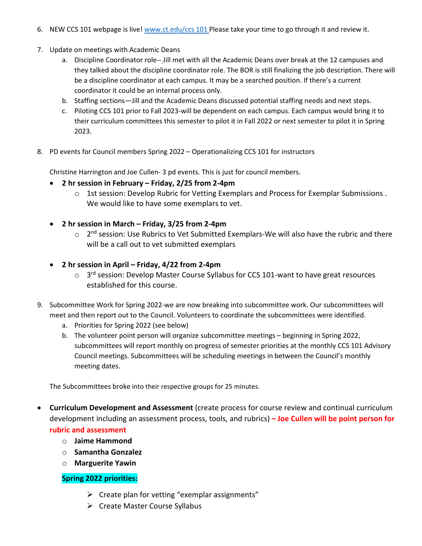- 6. NEW CCS 101 webpage is live[! www.ct.edu/ccs 101](http://www.ct.edu/ccs%20101) Please take your time to go through it and review it.
- 7. Update on meetings with Academic Deans
	- a. Discipline Coordinator role-- Jill met with all the Academic Deans over break at the 12 campuses and they talked about the discipline coordinator role. The BOR is still finalizing the job description. There will be a discipline coordinator at each campus. It may be a searched position. If there's a current coordinator it could be an internal process only.
	- b. Staffing sections—Jill and the Academic Deans discussed potential staffing needs and next steps.
	- c. Piloting CCS 101 prior to Fall 2023-will be dependent on each campus. Each campus would bring it to their curriculum committees this semester to pilot it in Fall 2022 or next semester to pilot it in Spring 2023.
- 8. PD events for Council members Spring 2022 Operationalizing CCS 101 for instructors

Christine Harrington and Joe Cullen- 3 pd events. This is just for council members.

- **2 hr session in February – Friday, 2/25 from 2-4pm**
	- o 1st session: Develop Rubric for Vetting Exemplars and Process for Exemplar Submissions . We would like to have some exemplars to vet.
- **2 hr session in March – Friday, 3/25 from 2-4pm**
	- $\circ$  2<sup>nd</sup> session: Use Rubrics to Vet Submitted Exemplars-We will also have the rubric and there will be a call out to vet submitted exemplars
- **2 hr session in April – Friday, 4/22 from 2-4pm**
	- $\circ$  3<sup>rd</sup> session: Develop Master Course Syllabus for CCS 101-want to have great resources established for this course.
- 9. Subcommittee Work for Spring 2022-we are now breaking into subcommittee work. Our subcommittees will meet and then report out to the Council. Volunteers to coordinate the subcommittees were identified.
	- a. Priorities for Spring 2022 (see below)
	- b. The volunteer point person will organize subcommittee meetings beginning in Spring 2022, subcommittees will report monthly on progress of semester priorities at the monthly CCS 101 Advisory Council meetings. Subcommittees will be scheduling meetings in between the Council's monthly meeting dates.

The Subcommittees broke into their respective groups for 25 minutes.

- **Curriculum Development and Assessment** (create process for course review and continual curriculum development including an assessment process, tools, and rubrics) **– Joe Cullen will be point person for rubric and assessment**
	- o **Jaime Hammond**
	- o **Samantha Gonzalez**
	- o **Marguerite Yawin**

## **Spring 2022 priorities:**

- $\triangleright$  Create plan for vetting "exemplar assignments"
- $\triangleright$  Create Master Course Syllabus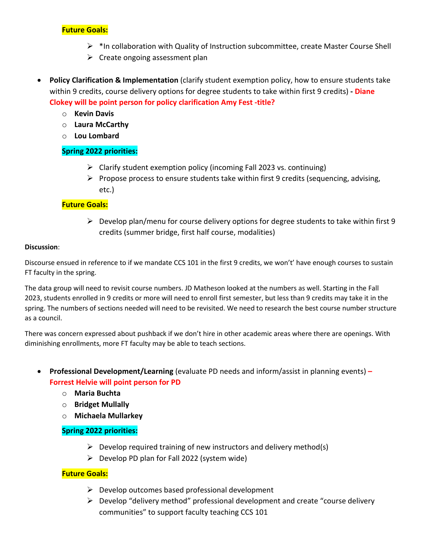## **Future Goals:**

- $\triangleright$  \*In collaboration with Quality of Instruction subcommittee, create Master Course Shell
- $\triangleright$  Create ongoing assessment plan
- **Policy Clarification & Implementation** (clarify student exemption policy, how to ensure students take within 9 credits, course delivery options for degree students to take within first 9 credits) **- Diane Clokey will be point person for policy clarification Amy Fest -title?**
	- o **Kevin Davis**
	- o **Laura McCarthy**
	- o **Lou Lombard**

## **Spring 2022 priorities:**

- $\triangleright$  Clarify student exemption policy (incoming Fall 2023 vs. continuing)
- $\triangleright$  Propose process to ensure students take within first 9 credits (sequencing, advising, etc.)

## **Future Goals:**

 $\triangleright$  Develop plan/menu for course delivery options for degree students to take within first 9 credits (summer bridge, first half course, modalities)

#### **Discussion**:

Discourse ensued in reference to if we mandate CCS 101 in the first 9 credits, we won't' have enough courses to sustain FT faculty in the spring.

The data group will need to revisit course numbers. JD Matheson looked at the numbers as well. Starting in the Fall 2023, students enrolled in 9 credits or more will need to enroll first semester, but less than 9 credits may take it in the spring. The numbers of sections needed will need to be revisited. We need to research the best course number structure as a council.

There was concern expressed about pushback if we don't hire in other academic areas where there are openings. With diminishing enrollments, more FT faculty may be able to teach sections.

- **Professional Development/Learning** (evaluate PD needs and inform/assist in planning events) **– Forrest Helvie will point person for PD**
	- o **Maria Buchta**
	- o **Bridget Mullally**
	- o **Michaela Mullarkey**

## **Spring 2022 priorities:**

- $\triangleright$  Develop required training of new instructors and delivery method(s)
- $\triangleright$  Develop PD plan for Fall 2022 (system wide)

## **Future Goals:**

- $\triangleright$  Develop outcomes based professional development
- $\triangleright$  Develop "delivery method" professional development and create "course delivery communities" to support faculty teaching CCS 101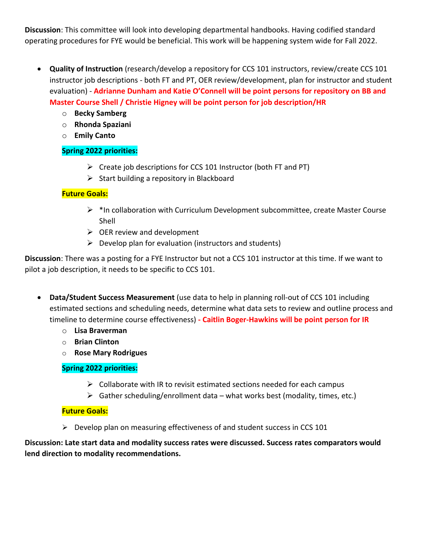**Discussion**: This committee will look into developing departmental handbooks. Having codified standard operating procedures for FYE would be beneficial. This work will be happening system wide for Fall 2022.

- **Quality of Instruction** (research/develop a repository for CCS 101 instructors, review/create CCS 101 instructor job descriptions - both FT and PT, OER review/development, plan for instructor and student evaluation) - **Adrianne Dunham and Katie O'Connell will be point persons for repository on BB and Master Course Shell / Christie Higney will be point person for job description/HR**
	- o **Becky Samberg**
	- o **Rhonda Spaziani**
	- o **Emily Canto**

## **Spring 2022 priorities:**

- $\triangleright$  Create job descriptions for CCS 101 Instructor (both FT and PT)
- $\triangleright$  Start building a repository in Blackboard

## **Future Goals:**

- $\triangleright$  \*In collaboration with Curriculum Development subcommittee, create Master Course Shell
- $\triangleright$  OER review and development
- $\triangleright$  Develop plan for evaluation (instructors and students)

**Discussion**: There was a posting for a FYE Instructor but not a CCS 101 instructor at this time. If we want to pilot a job description, it needs to be specific to CCS 101.

- **Data/Student Success Measurement** (use data to help in planning roll-out of CCS 101 including estimated sections and scheduling needs, determine what data sets to review and outline process and timeline to determine course effectiveness) **- Caitlin Boger-Hawkins will be point person for IR** 
	- o **Lisa Braverman**
	- o **Brian Clinton**
	- o **Rose Mary Rodrigues**

## **Spring 2022 priorities:**

- $\triangleright$  Collaborate with IR to revisit estimated sections needed for each campus
- $\triangleright$  Gather scheduling/enrollment data what works best (modality, times, etc.)

## **Future Goals:**

 $\triangleright$  Develop plan on measuring effectiveness of and student success in CCS 101

**Discussion: Late start data and modality success rates were discussed. Success rates comparators would lend direction to modality recommendations.**